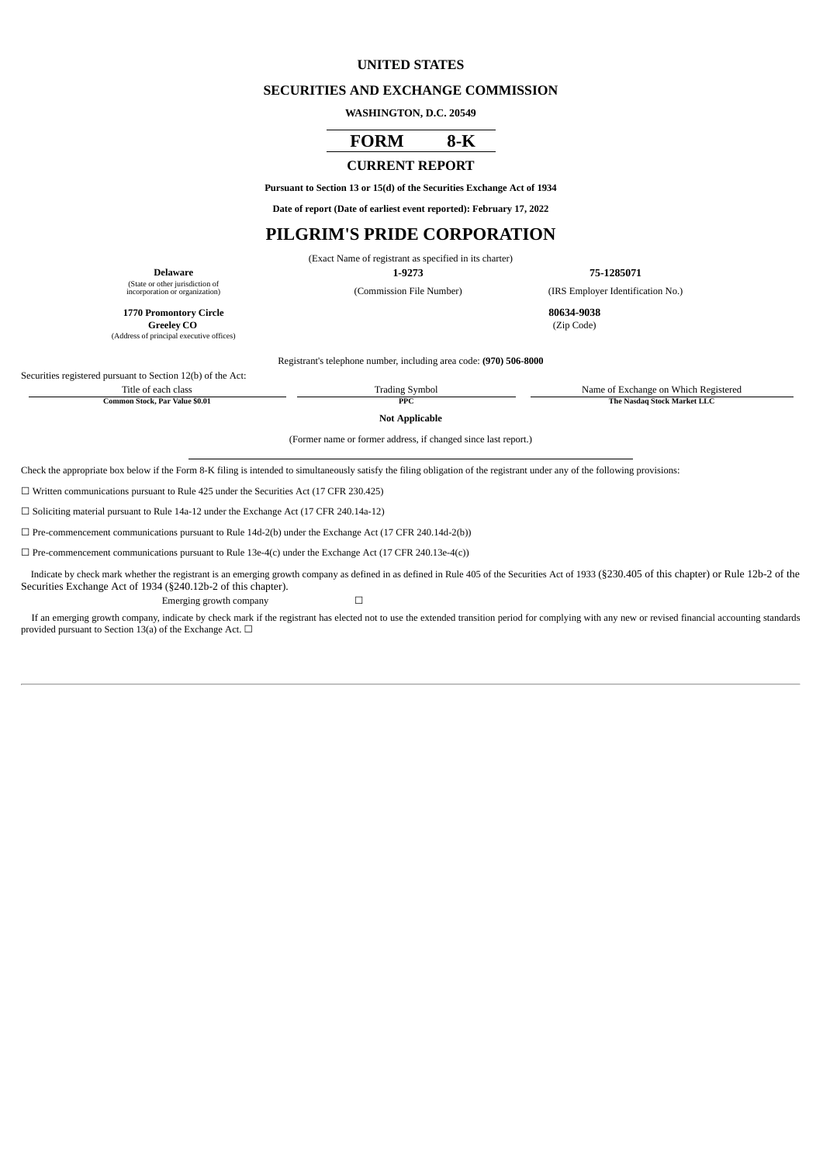## **UNITED STATES**

#### **SECURITIES AND EXCHANGE COMMISSION**

**WASHINGTON, D.C. 20549**

# **FORM 8-K**

# **CURRENT REPORT**

**Pursuant to Section 13 or 15(d) of the Securities Exchange Act of 1934**

**Date of report (Date of earliest event reported): February 17, 2022**

# **PILGRIM'S PRIDE CORPORATION**

(Exact Name of registrant as specified in its charter)

**Delaware 1-9273 75-1285071**

(Commission File Number) (IRS Employer Identification No.)

(State or other jurisdiction of

**1770 Promontory Circle 80634-9038 Greeley** CO (Address of principal executive offices)

Registrant's telephone number, including area code: **(970) 506-8000**

Securities registered pursuant to Section 12(b) of the Act:

Title of each class Trading Symbol Trading Symbol Name of Exchange on Which Registered<br>Common Stock. Par Value \$0.01 PPC PC The Nasdag Stock Market LLC **Common PPC STOCK** 

**Not Applicable**

(Former name or former address, if changed since last report.)

Check the appropriate box below if the Form 8-K filing is intended to simultaneously satisfy the filing obligation of the registrant under any of the following provisions:

☐ Written communications pursuant to Rule 425 under the Securities Act (17 CFR 230.425)

☐ Soliciting material pursuant to Rule 14a-12 under the Exchange Act (17 CFR 240.14a-12)

 $\Box$  Pre-commencement communications pursuant to Rule 14d-2(b) under the Exchange Act (17 CFR 240.14d-2(b))

 $\Box$  Pre-commencement communications pursuant to Rule 13e-4(c) under the Exchange Act (17 CFR 240.13e-4(c))

Indicate by check mark whether the registrant is an emerging growth company as defined in as defined in Rule 405 of the Securities Act of 1933 (§230.405 of this chapter) or Rule 12b-2 of the Securities Exchange Act of 1934 (§240.12b-2 of this chapter). Emerging growth company  $\Box$ 

If an emerging growth company, indicate by check mark if the registrant has elected not to use the extended transition period for complying with any new or revised financial accounting standards provided pursuant to Section 13(a) of the Exchange Act.  $\Box$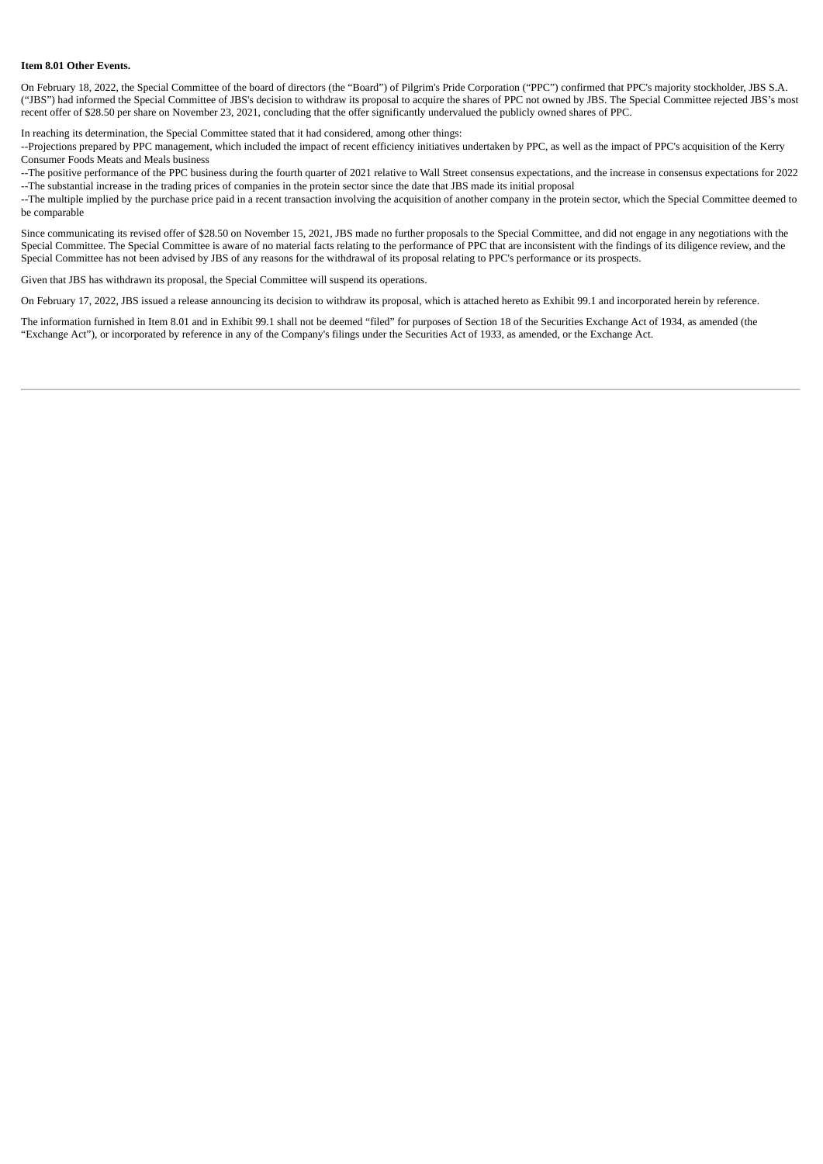#### **Item 8.01 Other Events.**

On February 18, 2022, the Special Committee of the board of directors (the "Board") of Pilgrim's Pride Corporation ("PPC") confirmed that PPC's majority stockholder, JBS S.A. ("JBS") had informed the Special Committee of JBS's decision to withdraw its proposal to acquire the shares of PPC not owned by JBS. The Special Committee rejected JBS's most recent offer of \$28.50 per share on November 23, 2021, concluding that the offer significantly undervalued the publicly owned shares of PPC.

In reaching its determination, the Special Committee stated that it had considered, among other things:

--Projections prepared by PPC management, which included the impact of recent efficiency initiatives undertaken by PPC, as well as the impact of PPC's acquisition of the Kerry Consumer Foods Meats and Meals business

--The positive performance of the PPC business during the fourth quarter of 2021 relative to Wall Street consensus expectations, and the increase in consensus expectations for 2022 --The substantial increase in the trading prices of companies in the protein sector since the date that JBS made its initial proposal

--The multiple implied by the purchase price paid in a recent transaction involving the acquisition of another company in the protein sector, which the Special Committee deemed to be comparable

Since communicating its revised offer of \$28.50 on November 15, 2021, JBS made no further proposals to the Special Committee, and did not engage in any negotiations with the Special Committee. The Special Committee is aware of no material facts relating to the performance of PPC that are inconsistent with the findings of its diligence review, and the Special Committee has not been advised by JBS of any reasons for the withdrawal of its proposal relating to PPC's performance or its prospects.

Given that JBS has withdrawn its proposal, the Special Committee will suspend its operations.

On February 17, 2022, JBS issued a release announcing its decision to withdraw its proposal, which is attached hereto as Exhibit 99.1 and incorporated herein by reference.

The information furnished in Item 8.01 and in Exhibit 99.1 shall not be deemed "filed" for purposes of Section 18 of the Securities Exchange Act of 1934, as amended (the "Exchange Act"), or incorporated by reference in any of the Company's filings under the Securities Act of 1933, as amended, or the Exchange Act.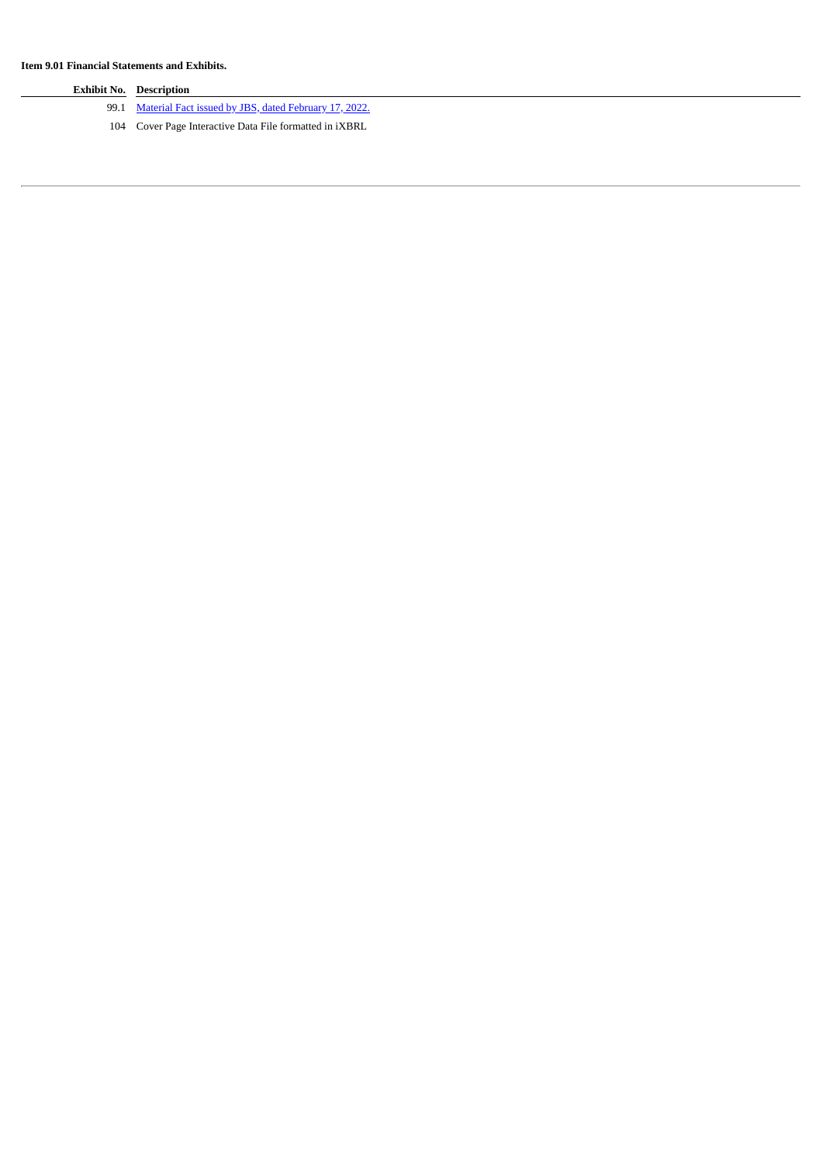| <b>Exhibit No. Description</b>                                 |
|----------------------------------------------------------------|
| 99.1 Material Fact issued by JBS, dated February 17, 2022.     |
| 104 Cover Page Interactive Data File formatted in <i>iXBRL</i> |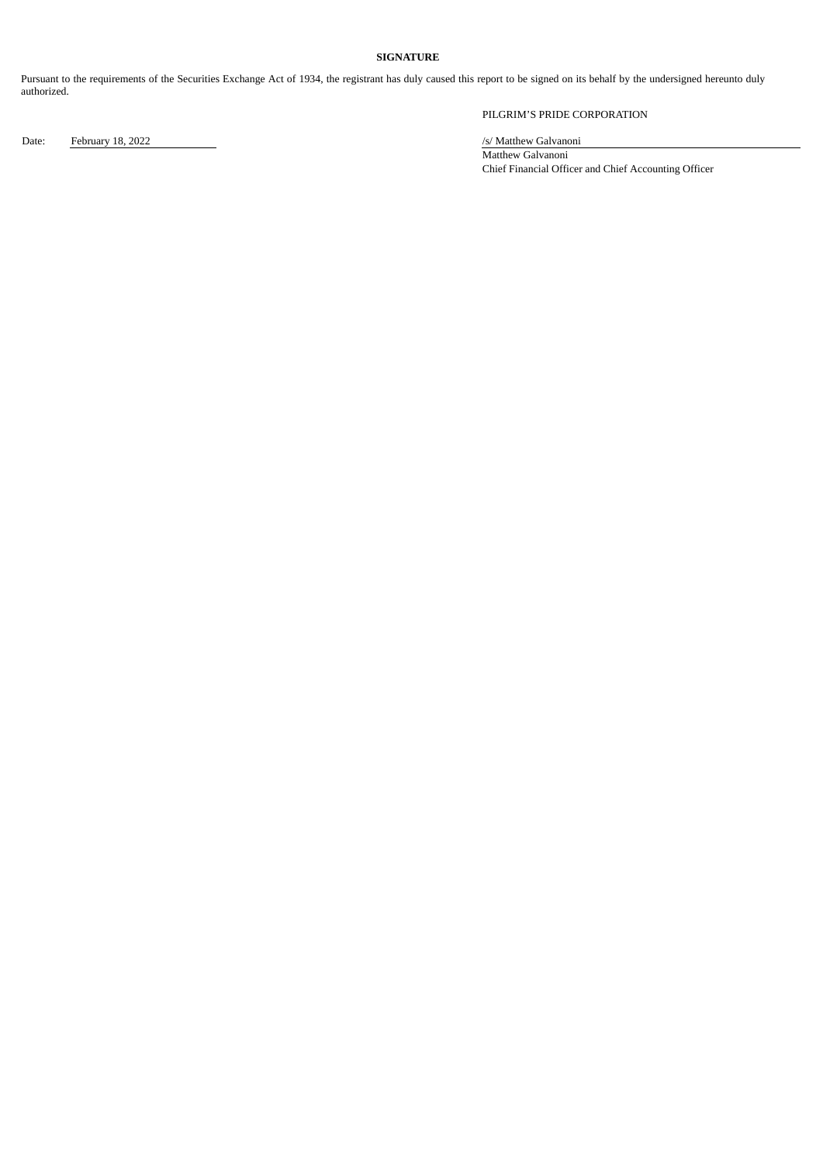## **SIGNATURE**

Pursuant to the requirements of the Securities Exchange Act of 1934, the registrant has duly caused this report to be signed on its behalf by the undersigned hereunto duly authorized.

PILGRIM'S PRIDE CORPORATION

Date: February 18, 2022 /s/ Matthew Galvanoni

Matthew Galvanoni Chief Financial Officer and Chief Accounting Officer